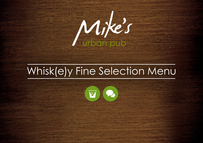

## Whisk(e)y Fine Selection Menu

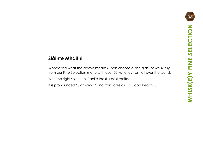## **Slàinte Mhaith!**

Wondering what the above means? Then choose a fine glass of whisk(e)y from our Fine Selection menu with over 50 varieties from all over the world. With the right spirit, this Gaelic toast is best recited.

It is pronounced "Slanj-a-va" and translates as "To good health!".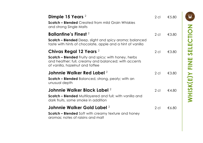| Dimple 15 Years <sup>2</sup><br><b>Scotch - Blended</b> Created from mild Grain Whiskies<br>and strong Single Malts                                                                  | $2$ cl | $\epsilon$ 5.80 |
|--------------------------------------------------------------------------------------------------------------------------------------------------------------------------------------|--------|-----------------|
| <b>Ballantine's Finest</b> 2<br><b>Scotch - Blended</b> Deep, slight and spicy aroma; balanced<br>taste with hints of chocolate, apple and a hint of vanilla                         | $2$ cl | €3.80           |
| Chivas Regal 12 Years $^2$<br><b>Scotch - Blended</b> Fruity and spicy; with honey, herbs<br>and heather; full, creamy and balanced; with accents<br>of vanilla, hazelnut and toffee | $2$ cl | €3.80           |
| Johnnie Walker Red Label 2<br>Scotch - Blended Balanced, strong, peaty; with an<br>unusual depth                                                                                     | $2$ cl | €3.80           |
| Johnnie Walker Black Label 2<br><b>Scotch - Blended</b> Multilayered and full; with vanilla and<br>dark fruits, some smoke in addition                                               | $2$ cl | $\notin$ 4.80   |
| Johnnie Walker Gold Label 2<br><b>Scotch – Blended</b> Soft with creamy texture and honey<br>aromas; notes of raisins and malt                                                       | $2$ cl | €6.80           |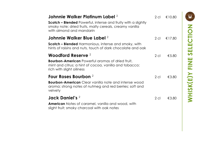| Johnnie Walker Platinum Label $^2$<br><b>Scotch - Blended</b> Powerful, intense and fruity with a slightly<br>smoky note; dried fruits, malty cereals, creamy vanilla<br>with almond and mandarin | 2 cl   | €10.80 |
|---------------------------------------------------------------------------------------------------------------------------------------------------------------------------------------------------|--------|--------|
| Johnnie Walker Blue Label $^{\rm 2}$                                                                                                                                                              | 2 cl   | €17.80 |
| <b>Scotch – Blended</b> Harmonious, intense and smoky, with<br>hints of raisins and nuts, touch of dark chocolate and oak                                                                         |        |        |
| Woodford Reserve <sup>2</sup>                                                                                                                                                                     | $2$ cl | €5.80  |
| <b>Bourbon-American</b> Powerful aromas of dried fruit,<br>mint and citrus; a hint of cocoa, vanilla and tobacco;<br>rich with slight oiliness                                                    |        |        |
| Four Roses Bourbon <sup>2</sup>                                                                                                                                                                   | $2$ cl | €3.80  |
| <b>Bourbon-American</b> Clear vanilla note and intense wood<br>aroma; strong notes of nutmeg and red berries; soft and<br>velvety                                                                 |        |        |
| Jack Daniel's $2$                                                                                                                                                                                 | $2$ cl | €3.80  |
| <b>American</b> Notes of caramel, vanilla and wood, with<br>slight fruit; smoky charcoal with oak notes                                                                                           |        |        |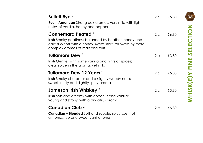| <b>Bulleit Rye</b> <sup>2</sup><br>Rye - American Strong oak aromas; very mild with light<br>notes of vanilla, honey and pepper                                                                | $2$ cl          | $\epsilon$ 5.80 |
|------------------------------------------------------------------------------------------------------------------------------------------------------------------------------------------------|-----------------|-----------------|
| Connemara Peated <sup>2</sup><br><b>Irish</b> Smoky peatiness balanced by heather, honey and<br>oak; silky soft with a honey-sweet start, followed by more<br>complex aromas of malt and fruit | 2 <sub>cl</sub> | €6.80           |
| Tullamore Dew <sup>2</sup><br><b>Irish</b> Gentle, with some vanilla and hints of spices;<br>clear spice in the aroma, yet mild                                                                | $2$ cl          | €3.80           |
| Tullamore Dew 12 Years 2<br>Irish Smoky character and a slightly woody note;<br>sweet, nutty and slightly spicy aroma                                                                          | $2$ cl          | $\epsilon$ 5.80 |
| Jameson Irish Whiskey <sup>2</sup><br>Irish Soft and creamy with coconut and vanilla;<br>young and strong with a dry citrus aroma                                                              | $2$ cl          | €3.80           |
| Canadian Club <sup>2</sup><br><b>Canadian - Blended</b> Soft and supple; spicy scent of<br>almonds, rye and sweet vanilla tones                                                                | $2$ cl          | €6.80           |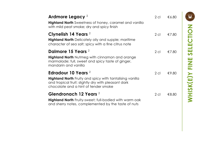| Ardmore Legacy <sup>2</sup><br><b>Highland North</b> Sweetness of honey, caramel and vanilla<br>with mild peat smoke; dry and spicy finish                                                | $2$ cl | €6.80 |
|-------------------------------------------------------------------------------------------------------------------------------------------------------------------------------------------|--------|-------|
| Clynelish 14 Years <sup>2</sup><br><b>Highland North</b> Delicately oily and supple; maritime<br>character of sea salt; spicy with a fine citrus note                                     | $2$ cl | €7.80 |
| Dalmore 15 Years 2<br><b>Highland North</b> Nutmeg with cinnamon and orange<br>marmalade; full, sweet and spicy taste of ginger,<br>mandarin and vanilla                                  | $2$ cl | €7.80 |
| Edradour 10 Years <sup>2</sup><br>Highland North Fruity and spicy with tantalising vanilla<br>and tropical fruit; slightly dry with pleasant dark<br>chocolate and a hint of tender smoke | $2$ cl | €9.80 |
| Glendronach 12 Years <sup>2</sup><br><b>Highland North</b> Fruity-sweet; full-bodied with warm oak<br>and sherry notes, complemented by the taste of nuts                                 | $2$ cl | €8.80 |

E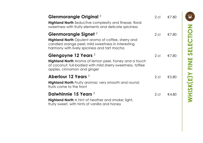| Glenmorangie Original <sup>2</sup><br><b>Highland North</b> Seductive complexity and finesse; floral<br>sweetness with fruity elements and delicate spiciness                                       | 2 cl   | €7.80 |
|-----------------------------------------------------------------------------------------------------------------------------------------------------------------------------------------------------|--------|-------|
| Glenmorangie Signet <sup>2</sup><br><b>Highland North</b> Opulent aroma of coffee, sherry and<br>candied orange peel; mild sweetness in interesting<br>harmony with lively spiciness and tart mocha | $2$ cl | €7.80 |
| Glengoyne 12 Years 2<br><b>Highland North</b> Aroma of lemon peel, honey and a touch<br>of coconut; full-bodied with mild sherry sweetness, toffee<br>apples, cinnamon and ginger                   | $2$ cl | €7.80 |
| Aberlour 12 Years 2<br><b>Highland North</b> Fruity aromas; very smooth and round;<br>fruits come to the front                                                                                      | $2$ cl | €5.80 |
| Dalwhinnie 15 Years 2<br><b>Highland North</b> A hint of heather and smoke; light,<br>fruity sweet, with hints of vanilla and honey                                                                 | $2$ cl | €4.80 |

 $\mathbf{F}$ **)Y FINE SELECTION E WHISK (**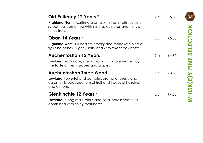| Old Pulteney 12 Years 2<br><b>Highland North</b> Maritime aroma with fresh fruits; velvety<br>sweetness combined with salty spicy notes and hints of<br>citrus fruits | $2$ cl | €5.80 |
|-----------------------------------------------------------------------------------------------------------------------------------------------------------------------|--------|-------|
| Oban 14 Years <sup>2</sup>                                                                                                                                            | $2$ cl | €5.80 |
| Highland West Full-bodied, smoky and malty with hints of<br>figs and honey; slightly salty and with sweet oak notes                                                   |        |       |
| Auchentoshan 12 Years 2                                                                                                                                               | $2$ cl | €4.80 |
| Lowland Fruity note; sherry aromas complemented by<br>the taste of fresh grapes and apples                                                                            |        |       |
| Auchentoshan Three Wood 2                                                                                                                                             | $2$ cl | €8.80 |
| Lowland Powerful and complex aroma of sherry and<br>caramel; broad spectrum of fruit and traces of hazelnut<br>and almond                                             |        |       |
| Glenkinchie 12 Years <sup>2</sup>                                                                                                                                     | $2$ cl | €4.80 |
| <b>Lowland</b> Strong malt, citrus and floral notes; ripe fruits<br>combined with spicy malt notes                                                                    |        |       |

 $\mathbf{F}$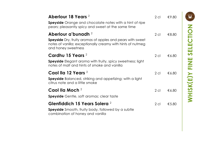| Aberlour 18 Years <sup>2</sup><br><b>Speyside</b> Orange and chocolate notes with a hint of ripe<br>pears; pleasantly spicy and sweet at the same time                                    | $2$ cl | €9.80 |
|-------------------------------------------------------------------------------------------------------------------------------------------------------------------------------------------|--------|-------|
| Aberlour a'bunadh <sup>2</sup><br><b>Speyside</b> Dry, fruity aromas of apples and pears with sweet<br>notes of vanilla; exceptionally creamy with hints of nutmeg<br>and honey sweetness | $2$ cl | €8.80 |
| Cardhu 15 Years <sup>2</sup><br><b>Speyside</b> Elegant aroma with fruity, spicy sweetness; light<br>notes of malt and hints of smoke and vanilla                                         | $2$ cl | €6.80 |
| Caol lla 12 Years <sup>2</sup><br><b>Speyside</b> Balanced, striking and appetizing; with a light<br>citrus note and a little smoke                                                       | $2$ cl | €6.80 |
| Caol Ila Moch <sup>2</sup><br><b>Speyside</b> Gentle, soft aromas; clear taste                                                                                                            | $2$ cl | €6.80 |
| Glenfiddich 15 Years Solera 2<br><b>Speyside</b> Smooth, fruity body, followed by a subtle<br>combination of honey and vanilla                                                            | $2$ cl | €5.80 |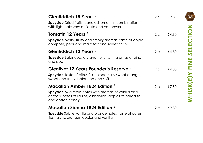| Glenfiddich 18 Years <sup>2</sup><br><b>Speyside</b> Dried fruits, candied lemon, in combination<br>with light oak; very delicate and yet powerful                             | $2$ cl | €9.80         |
|--------------------------------------------------------------------------------------------------------------------------------------------------------------------------------|--------|---------------|
| Tomatin 12 Years <sup>2</sup><br><b>Speyside</b> Malty, fruity and smoky aromas; taste of apple<br>compote, pear and malt; soft and sweet finish                               | $2$ cl | $\notin$ 4.80 |
| Glenfiddich 12 Years <sup>2</sup><br><b>Speyside</b> Balanced, dry and fruity, with aromas of pine<br>and peat                                                                 | $2$ cl | $\notin$ 4.80 |
| Glenlivet 12 Years Founder's Reserve 2<br><b>Speyside</b> Taste of citrus fruits, especially sweet orange;<br>sweet and fruity; balanced and soft                              | $2$ cl | €4.80         |
| Macallan Amber 1824 Edition $2$<br><b>Speyside</b> Mild citrus notes with aromas of vanilla and<br>cereals; notes of raisins, cinnamon, apples of paradise<br>and cotton candy | $2$ cl | €7.80         |
| Macallan Sienna 1824 Edition $2$<br>Speyside Subtle vanilla and orange notes; taste of dates,<br>figs, raisins, oranges, apples and vanilla                                    | $2$ cl | €9.80         |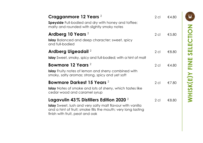| Cragganmore 12 Years <sup>2</sup><br><b>Speyside</b> Full-bodied and dry with honey and toffee;<br>malty and rounded with slightly smoky notes                                                                      | $2$ cl | €4.80 |
|---------------------------------------------------------------------------------------------------------------------------------------------------------------------------------------------------------------------|--------|-------|
| Ardberg 10 Years <sup>2</sup><br><b>Islay</b> Balanced and deep character; sweet, spicy<br>and full-bodied                                                                                                          | $2$ cl | €5.80 |
| Ardberg Uigeadail <sup>2</sup><br><b>Islay</b> Sweet, smoky, spicy and full-bodied; with a hint of malt                                                                                                             | $2$ cl | €8.80 |
| Bowmore 12 Years <sup>2</sup><br><b>Islay</b> Fruity notes of lemon and sherry combined with<br>smoky, salty aromas; strong, spicy and yet soft                                                                     | $2$ cl | €4.80 |
| Bowmore Darkest 15 Years 2<br><b>Islay</b> Notes of smoke and lots of sherry, which tastes like<br>cedar wood and caramel syrup                                                                                     | $2$ cl | €7.80 |
| Lagavulin 43% Distillers Edition 2020 $^2$<br><b>Islay</b> Sweet, lush and very salty malt flavour with vanilla<br>and a hint of fruit; smoke fills the mouth; very long lasting<br>finish with fruit, peat and oak | $2$ cl | €8.80 |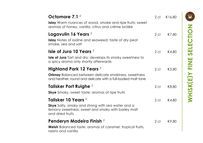| Octomore 7.1 $2$<br><b>Islay</b> Warm nuances of wood, smoke and ripe fruits; sweet<br>aromas of honey, vanilla, citrus and crème brûlée                            | $2$ cl | €16.80 |
|---------------------------------------------------------------------------------------------------------------------------------------------------------------------|--------|--------|
| Lagavulin 16 Years <sup>2</sup><br><b>Islay</b> Notes of iodine and seaweed; taste of dry peat<br>smoke, sea and salt                                               | $2$ cl | €7.80  |
| Isle of Jura 10 Years $2$<br><b>Isle of Jura</b> Tart and dry; develops its smoky sweetness to<br>a spicy aroma only shortly afterwards                             | $2$ cl | €4.80  |
| Highland Park 12 Years <sup>2</sup><br><b>Orknay</b> Balanced between delicate smokiness, sweetness<br>and heather; round and delicate with a full-bodied malt tone | $2$ cl | €5.80  |
| Talisker Port Ruighe <sup>2</sup><br><b>Skye</b> Smoky, sweet taste; aromas of ripe fruits                                                                          | $2$ cl | €8.80  |
| Talisker 10 Years 2<br><b>Skye</b> Salty, smoky and strong with sea water and a<br>lemony sweetness; sweet and smoky with barley malt<br>and dried fruits           | $2$ cl | €4.80  |
| Penderyn Madeira Finish 2<br><b>Welsh</b> Balanced taste; aromas of caramel, tropical fruits,<br>raisins and vanilla                                                | $2$ cl | €9.80  |